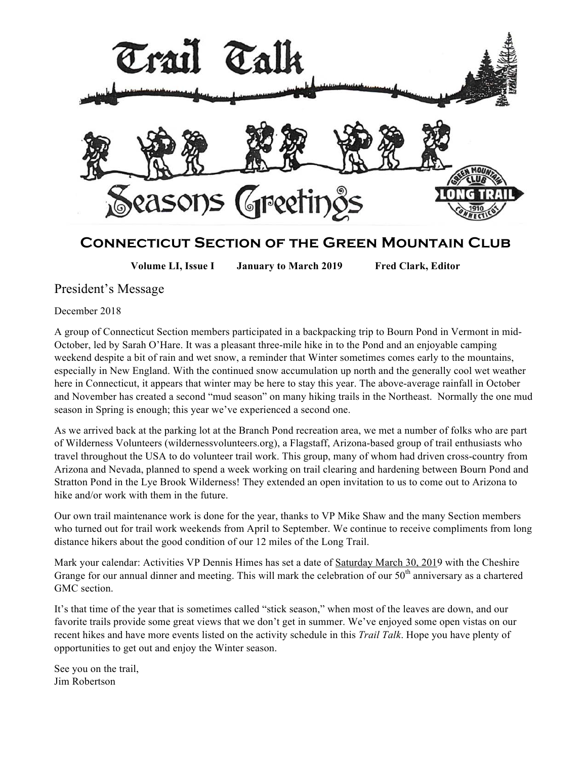

# **Connecticut Section of the Green Mountain Club**

**Volume LI, Issue I January to March 2019 Fred Clark, Editor**

## President's Message

December 2018

A group of Connecticut Section members participated in a backpacking trip to Bourn Pond in Vermont in mid-October, led by Sarah O'Hare. It was a pleasant three-mile hike in to the Pond and an enjoyable camping weekend despite a bit of rain and wet snow, a reminder that Winter sometimes comes early to the mountains, especially in New England. With the continued snow accumulation up north and the generally cool wet weather here in Connecticut, it appears that winter may be here to stay this year. The above-average rainfall in October and November has created a second "mud season" on many hiking trails in the Northeast. Normally the one mud season in Spring is enough; this year we've experienced a second one.

As we arrived back at the parking lot at the Branch Pond recreation area, we met a number of folks who are part of Wilderness Volunteers (wildernessvolunteers.org), a Flagstaff, Arizona-based group of trail enthusiasts who travel throughout the USA to do volunteer trail work. This group, many of whom had driven cross-country from Arizona and Nevada, planned to spend a week working on trail clearing and hardening between Bourn Pond and Stratton Pond in the Lye Brook Wilderness! They extended an open invitation to us to come out to Arizona to hike and/or work with them in the future.

Our own trail maintenance work is done for the year, thanks to VP Mike Shaw and the many Section members who turned out for trail work weekends from April to September. We continue to receive compliments from long distance hikers about the good condition of our 12 miles of the Long Trail.

Mark your calendar: Activities VP Dennis Himes has set a date of Saturday March 30, 2019 with the Cheshire Grange for our annual dinner and meeting. This will mark the celebration of our  $50<sup>th</sup>$  anniversary as a chartered GMC section.

It's that time of the year that is sometimes called "stick season," when most of the leaves are down, and our favorite trails provide some great views that we don't get in summer. We've enjoyed some open vistas on our recent hikes and have more events listed on the activity schedule in this *Trail Talk*. Hope you have plenty of opportunities to get out and enjoy the Winter season.

See you on the trail, Jim Robertson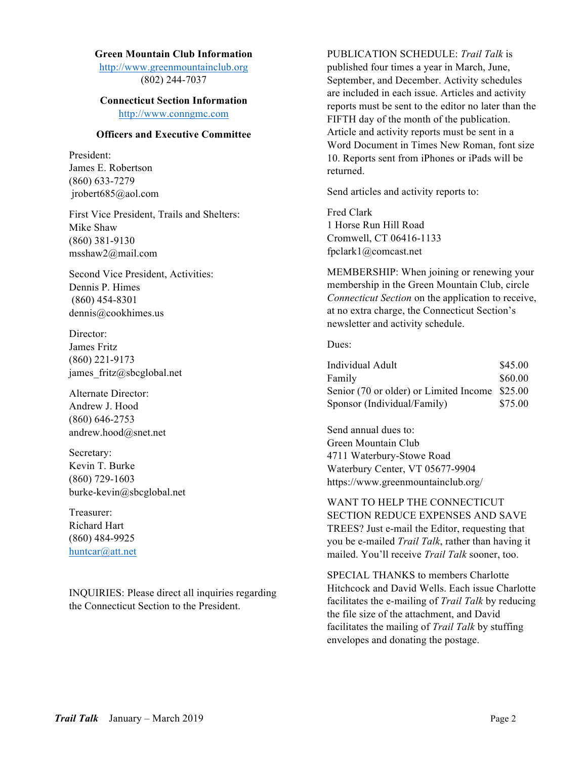## **Green Mountain Club Information**

http://www.greenmountainclub.org (802) 244-7037

#### **Connecticut Section Information** http://www.conngmc.com

### **Officers and Executive Committee**

President: James E. Robertson (860) 633-7279 jrobert685@aol.com

First Vice President, Trails and Shelters: Mike Shaw (860) 381-9130 msshaw2@mail.com

Second Vice President, Activities: Dennis P. Himes (860) 454-8301 dennis@cookhimes.us

Director: James Fritz (860) 221-9173 james fritz@sbcglobal.net

Alternate Director: Andrew J. Hood (860) 646-2753 andrew.hood@snet.net

Secretary: Kevin T. Burke (860) 729-1603 burke-kevin@sbcglobal.net

Treasurer: Richard Hart (860) 484-9925 huntcar@att.net

INQUIRIES: Please direct all inquiries regarding the Connecticut Section to the President.

PUBLICATION SCHEDULE: *Trail Talk* is published four times a year in March, June, September, and December. Activity schedules are included in each issue. Articles and activity reports must be sent to the editor no later than the FIFTH day of the month of the publication. Article and activity reports must be sent in a Word Document in Times New Roman, font size 10. Reports sent from iPhones or iPads will be returned.

Send articles and activity reports to:

Fred Clark 1 Horse Run Hill Road Cromwell, CT 06416-1133 fpclark1@comcast.net

MEMBERSHIP: When joining or renewing your membership in the Green Mountain Club, circle *Connecticut Section* on the application to receive, at no extra charge, the Connecticut Section's newsletter and activity schedule.

Dues:

| Individual Adult                               | \$45.00 |
|------------------------------------------------|---------|
| Family                                         | \$60.00 |
| Senior (70 or older) or Limited Income \$25.00 |         |
| Sponsor (Individual/Family)                    | \$75.00 |

Send annual dues to: Green Mountain Club 4711 Waterbury-Stowe Road Waterbury Center, VT 05677-9904 https://www.greenmountainclub.org/

WANT TO HELP THE CONNECTICUT SECTION REDUCE EXPENSES AND SAVE TREES? Just e-mail the Editor, requesting that you be e-mailed *Trail Talk*, rather than having it mailed. You'll receive *Trail Talk* sooner, too.

SPECIAL THANKS to members Charlotte Hitchcock and David Wells. Each issue Charlotte facilitates the e-mailing of *Trail Talk* by reducing the file size of the attachment, and David facilitates the mailing of *Trail Talk* by stuffing envelopes and donating the postage.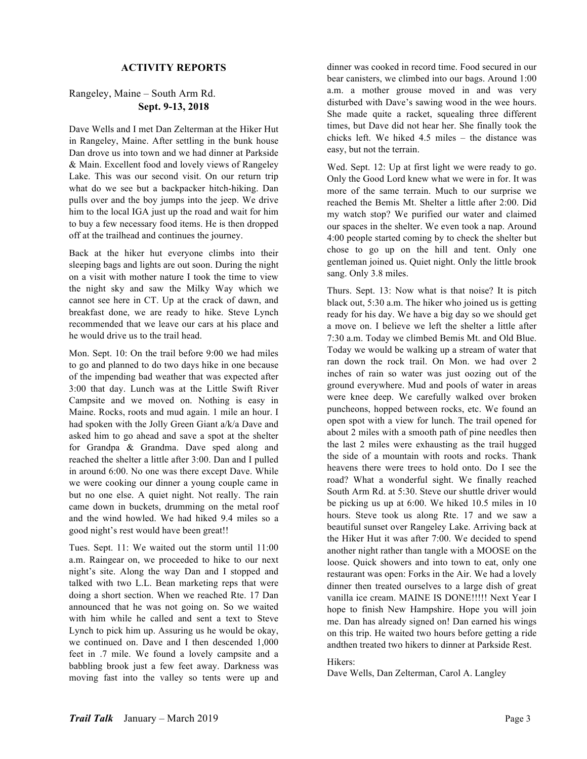#### **ACTIVITY REPORTS**

## Rangeley, Maine – South Arm Rd. **Sept. 9-13, 2018**

Dave Wells and I met Dan Zelterman at the Hiker Hut in Rangeley, Maine. After settling in the bunk house Dan drove us into town and we had dinner at Parkside & Main. Excellent food and lovely views of Rangeley Lake. This was our second visit. On our return trip what do we see but a backpacker hitch-hiking. Dan pulls over and the boy jumps into the jeep. We drive him to the local IGA just up the road and wait for him to buy a few necessary food items. He is then dropped off at the trailhead and continues the journey.

Back at the hiker hut everyone climbs into their sleeping bags and lights are out soon. During the night on a visit with mother nature I took the time to view the night sky and saw the Milky Way which we cannot see here in CT. Up at the crack of dawn, and breakfast done, we are ready to hike. Steve Lynch recommended that we leave our cars at his place and he would drive us to the trail head.

Mon. Sept. 10: On the trail before 9:00 we had miles to go and planned to do two days hike in one because of the impending bad weather that was expected after 3:00 that day. Lunch was at the Little Swift River Campsite and we moved on. Nothing is easy in Maine. Rocks, roots and mud again. 1 mile an hour. I had spoken with the Jolly Green Giant a/k/a Dave and asked him to go ahead and save a spot at the shelter for Grandpa & Grandma. Dave sped along and reached the shelter a little after 3:00. Dan and I pulled in around 6:00. No one was there except Dave. While we were cooking our dinner a young couple came in but no one else. A quiet night. Not really. The rain came down in buckets, drumming on the metal roof and the wind howled. We had hiked 9.4 miles so a good night's rest would have been great!!

Tues. Sept. 11: We waited out the storm until 11:00 a.m. Raingear on, we proceeded to hike to our next night's site. Along the way Dan and I stopped and talked with two L.L. Bean marketing reps that were doing a short section. When we reached Rte. 17 Dan announced that he was not going on. So we waited with him while he called and sent a text to Steve Lynch to pick him up. Assuring us he would be okay, we continued on. Dave and I then descended 1,000 feet in .7 mile. We found a lovely campsite and a babbling brook just a few feet away. Darkness was moving fast into the valley so tents were up and

dinner was cooked in record time. Food secured in our bear canisters, we climbed into our bags. Around 1:00 a.m. a mother grouse moved in and was very disturbed with Dave's sawing wood in the wee hours. She made quite a racket, squealing three different times, but Dave did not hear her. She finally took the chicks left. We hiked 4.5 miles – the distance was easy, but not the terrain.

Wed. Sept. 12: Up at first light we were ready to go. Only the Good Lord knew what we were in for. It was more of the same terrain. Much to our surprise we reached the Bemis Mt. Shelter a little after 2:00. Did my watch stop? We purified our water and claimed our spaces in the shelter. We even took a nap. Around 4:00 people started coming by to check the shelter but chose to go up on the hill and tent. Only one gentleman joined us. Quiet night. Only the little brook sang. Only 3.8 miles.

Thurs. Sept. 13: Now what is that noise? It is pitch black out, 5:30 a.m. The hiker who joined us is getting ready for his day. We have a big day so we should get a move on. I believe we left the shelter a little after 7:30 a.m. Today we climbed Bemis Mt. and Old Blue. Today we would be walking up a stream of water that ran down the rock trail. On Mon. we had over 2 inches of rain so water was just oozing out of the ground everywhere. Mud and pools of water in areas were knee deep. We carefully walked over broken puncheons, hopped between rocks, etc. We found an open spot with a view for lunch. The trail opened for about 2 miles with a smooth path of pine needles then the last 2 miles were exhausting as the trail hugged the side of a mountain with roots and rocks. Thank heavens there were trees to hold onto. Do I see the road? What a wonderful sight. We finally reached South Arm Rd. at 5:30. Steve our shuttle driver would be picking us up at 6:00. We hiked 10.5 miles in 10 hours. Steve took us along Rte. 17 and we saw a beautiful sunset over Rangeley Lake. Arriving back at the Hiker Hut it was after 7:00. We decided to spend another night rather than tangle with a MOOSE on the loose. Quick showers and into town to eat, only one restaurant was open: Forks in the Air. We had a lovely dinner then treated ourselves to a large dish of great vanilla ice cream. MAINE IS DONE!!!!! Next Year I hope to finish New Hampshire. Hope you will join me. Dan has already signed on! Dan earned his wings on this trip. He waited two hours before getting a ride andthen treated two hikers to dinner at Parkside Rest.

#### Hikers:

Dave Wells, Dan Zelterman, Carol A. Langley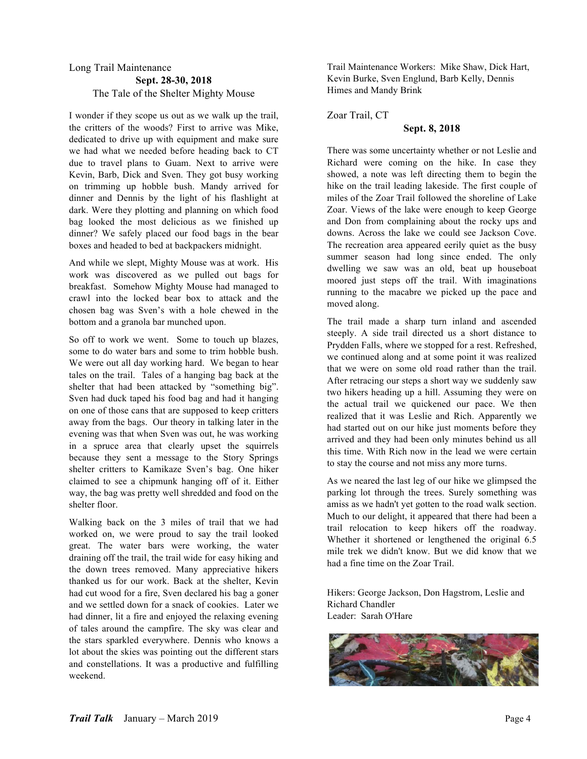### Long Trail Maintenance **Sept. 28-30, 2018** The Tale of the Shelter Mighty Mouse

I wonder if they scope us out as we walk up the trail, the critters of the woods? First to arrive was Mike, dedicated to drive up with equipment and make sure we had what we needed before heading back to CT due to travel plans to Guam. Next to arrive were Kevin, Barb, Dick and Sven. They got busy working on trimming up hobble bush. Mandy arrived for dinner and Dennis by the light of his flashlight at dark. Were they plotting and planning on which food bag looked the most delicious as we finished up dinner? We safely placed our food bags in the bear boxes and headed to bed at backpackers midnight.

And while we slept, Mighty Mouse was at work. His work was discovered as we pulled out bags for breakfast. Somehow Mighty Mouse had managed to crawl into the locked bear box to attack and the chosen bag was Sven's with a hole chewed in the bottom and a granola bar munched upon.

So off to work we went. Some to touch up blazes, some to do water bars and some to trim hobble bush. We were out all day working hard. We began to hear tales on the trail. Tales of a hanging bag back at the shelter that had been attacked by "something big". Sven had duck taped his food bag and had it hanging on one of those cans that are supposed to keep critters away from the bags. Our theory in talking later in the evening was that when Sven was out, he was working in a spruce area that clearly upset the squirrels because they sent a message to the Story Springs shelter critters to Kamikaze Sven's bag. One hiker claimed to see a chipmunk hanging off of it. Either way, the bag was pretty well shredded and food on the shelter floor.

Walking back on the 3 miles of trail that we had worked on, we were proud to say the trail looked great. The water bars were working, the water draining off the trail, the trail wide for easy hiking and the down trees removed. Many appreciative hikers thanked us for our work. Back at the shelter, Kevin had cut wood for a fire, Sven declared his bag a goner and we settled down for a snack of cookies. Later we had dinner, lit a fire and enjoyed the relaxing evening of tales around the campfire. The sky was clear and the stars sparkled everywhere. Dennis who knows a lot about the skies was pointing out the different stars and constellations. It was a productive and fulfilling weekend.

Trail Maintenance Workers: Mike Shaw, Dick Hart, Kevin Burke, Sven Englund, Barb Kelly, Dennis Himes and Mandy Brink

Zoar Trail, CT

## **Sept. 8, 2018**

There was some uncertainty whether or not Leslie and Richard were coming on the hike. In case they showed, a note was left directing them to begin the hike on the trail leading lakeside. The first couple of miles of the Zoar Trail followed the shoreline of Lake Zoar. Views of the lake were enough to keep George and Don from complaining about the rocky ups and downs. Across the lake we could see Jackson Cove. The recreation area appeared eerily quiet as the busy summer season had long since ended. The only dwelling we saw was an old, beat up houseboat moored just steps off the trail. With imaginations running to the macabre we picked up the pace and moved along.

The trail made a sharp turn inland and ascended steeply. A side trail directed us a short distance to Prydden Falls, where we stopped for a rest. Refreshed, we continued along and at some point it was realized that we were on some old road rather than the trail. After retracing our steps a short way we suddenly saw two hikers heading up a hill. Assuming they were on the actual trail we quickened our pace. We then realized that it was Leslie and Rich. Apparently we had started out on our hike just moments before they arrived and they had been only minutes behind us all this time. With Rich now in the lead we were certain to stay the course and not miss any more turns.

As we neared the last leg of our hike we glimpsed the parking lot through the trees. Surely something was amiss as we hadn't yet gotten to the road walk section. Much to our delight, it appeared that there had been a trail relocation to keep hikers off the roadway. Whether it shortened or lengthened the original 6.5 mile trek we didn't know. But we did know that we had a fine time on the Zoar Trail.

Hikers: George Jackson, Don Hagstrom, Leslie and Richard Chandler Leader: Sarah O'Hare

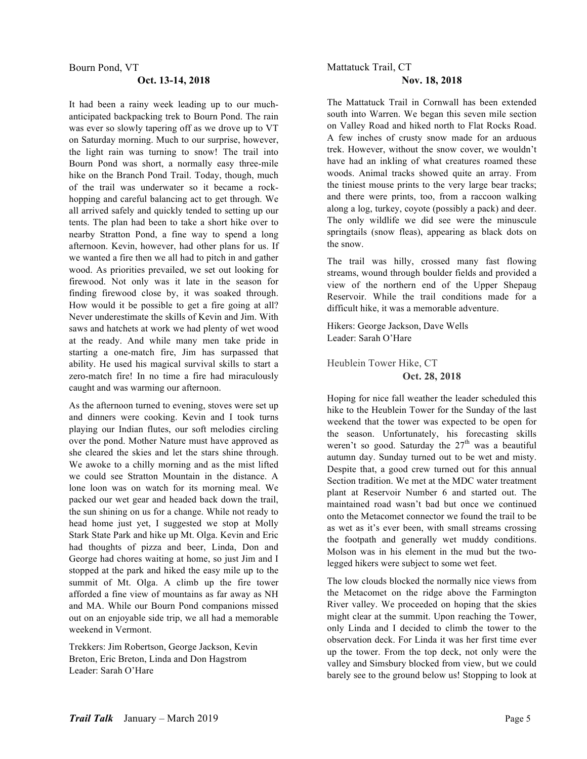#### Bourn Pond, VT

#### **Oct. 13-14, 2018**

It had been a rainy week leading up to our muchanticipated backpacking trek to Bourn Pond. The rain was ever so slowly tapering off as we drove up to VT on Saturday morning. Much to our surprise, however, the light rain was turning to snow! The trail into Bourn Pond was short, a normally easy three-mile hike on the Branch Pond Trail. Today, though, much of the trail was underwater so it became a rockhopping and careful balancing act to get through. We all arrived safely and quickly tended to setting up our tents. The plan had been to take a short hike over to nearby Stratton Pond, a fine way to spend a long afternoon. Kevin, however, had other plans for us. If we wanted a fire then we all had to pitch in and gather wood. As priorities prevailed, we set out looking for firewood. Not only was it late in the season for finding firewood close by, it was soaked through. How would it be possible to get a fire going at all? Never underestimate the skills of Kevin and Jim. With saws and hatchets at work we had plenty of wet wood at the ready. And while many men take pride in starting a one-match fire, Jim has surpassed that ability. He used his magical survival skills to start a zero-match fire! In no time a fire had miraculously caught and was warming our afternoon.

As the afternoon turned to evening, stoves were set up and dinners were cooking. Kevin and I took turns playing our Indian flutes, our soft melodies circling over the pond. Mother Nature must have approved as she cleared the skies and let the stars shine through. We awoke to a chilly morning and as the mist lifted we could see Stratton Mountain in the distance. A lone loon was on watch for its morning meal. We packed our wet gear and headed back down the trail, the sun shining on us for a change. While not ready to head home just yet, I suggested we stop at Molly Stark State Park and hike up Mt. Olga. Kevin and Eric had thoughts of pizza and beer, Linda, Don and George had chores waiting at home, so just Jim and I stopped at the park and hiked the easy mile up to the summit of Mt. Olga. A climb up the fire tower afforded a fine view of mountains as far away as NH and MA. While our Bourn Pond companions missed out on an enjoyable side trip, we all had a memorable weekend in Vermont.

Trekkers: Jim Robertson, George Jackson, Kevin Breton, Eric Breton, Linda and Don Hagstrom Leader: Sarah O'Hare

## Mattatuck Trail, CT **Nov. 18, 2018**

The Mattatuck Trail in Cornwall has been extended south into Warren. We began this seven mile section on Valley Road and hiked north to Flat Rocks Road. A few inches of crusty snow made for an arduous trek. However, without the snow cover, we wouldn't have had an inkling of what creatures roamed these woods. Animal tracks showed quite an array. From the tiniest mouse prints to the very large bear tracks; and there were prints, too, from a raccoon walking along a log, turkey, coyote (possibly a pack) and deer. The only wildlife we did see were the minuscule springtails (snow fleas), appearing as black dots on the snow.

The trail was hilly, crossed many fast flowing streams, wound through boulder fields and provided a view of the northern end of the Upper Shepaug Reservoir. While the trail conditions made for a difficult hike, it was a memorable adventure.

Hikers: George Jackson, Dave Wells Leader: Sarah O'Hare

Heublein Tower Hike, CT **Oct. 28, 2018**

Hoping for nice fall weather the leader scheduled this hike to the Heublein Tower for the Sunday of the last weekend that the tower was expected to be open for the season. Unfortunately, his forecasting skills weren't so good. Saturday the  $27<sup>th</sup>$  was a beautiful autumn day. Sunday turned out to be wet and misty. Despite that, a good crew turned out for this annual Section tradition. We met at the MDC water treatment plant at Reservoir Number 6 and started out. The maintained road wasn't bad but once we continued onto the Metacomet connector we found the trail to be as wet as it's ever been, with small streams crossing the footpath and generally wet muddy conditions. Molson was in his element in the mud but the twolegged hikers were subject to some wet feet.

The low clouds blocked the normally nice views from the Metacomet on the ridge above the Farmington River valley. We proceeded on hoping that the skies might clear at the summit. Upon reaching the Tower, only Linda and I decided to climb the tower to the observation deck. For Linda it was her first time ever up the tower. From the top deck, not only were the valley and Simsbury blocked from view, but we could barely see to the ground below us! Stopping to look at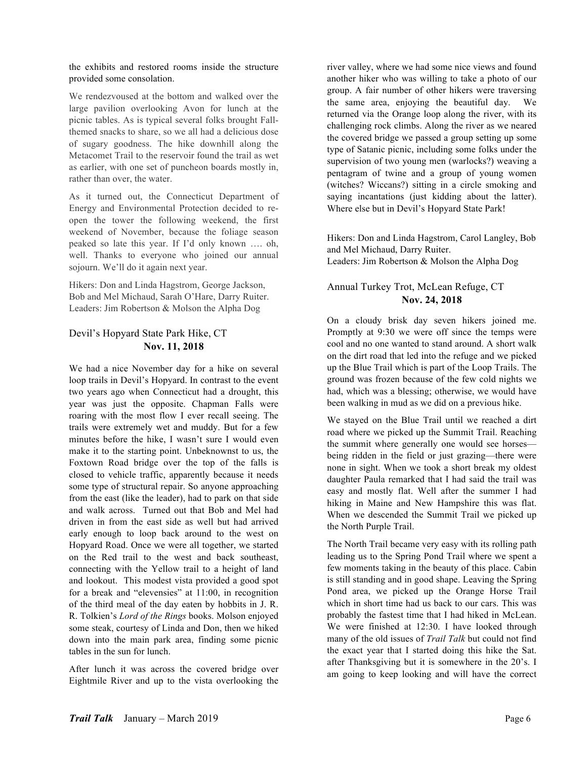the exhibits and restored rooms inside the structure provided some consolation.

We rendezvoused at the bottom and walked over the large pavilion overlooking Avon for lunch at the picnic tables. As is typical several folks brought Fallthemed snacks to share, so we all had a delicious dose of sugary goodness. The hike downhill along the Metacomet Trail to the reservoir found the trail as wet as earlier, with one set of puncheon boards mostly in, rather than over, the water.

As it turned out, the Connecticut Department of Energy and Environmental Protection decided to reopen the tower the following weekend, the first weekend of November, because the foliage season peaked so late this year. If I'd only known …. oh, well. Thanks to everyone who joined our annual sojourn. We'll do it again next year.

Hikers: Don and Linda Hagstrom, George Jackson, Bob and Mel Michaud, Sarah O'Hare, Darry Ruiter. Leaders: Jim Robertson & Molson the Alpha Dog

## Devil's Hopyard State Park Hike, CT **Nov. 11, 2018**

We had a nice November day for a hike on several loop trails in Devil's Hopyard. In contrast to the event two years ago when Connecticut had a drought, this year was just the opposite. Chapman Falls were roaring with the most flow I ever recall seeing. The trails were extremely wet and muddy. But for a few minutes before the hike, I wasn't sure I would even make it to the starting point. Unbeknownst to us, the Foxtown Road bridge over the top of the falls is closed to vehicle traffic, apparently because it needs some type of structural repair. So anyone approaching from the east (like the leader), had to park on that side and walk across. Turned out that Bob and Mel had driven in from the east side as well but had arrived early enough to loop back around to the west on Hopyard Road. Once we were all together, we started on the Red trail to the west and back southeast, connecting with the Yellow trail to a height of land and lookout. This modest vista provided a good spot for a break and "elevensies" at 11:00, in recognition of the third meal of the day eaten by hobbits in J. R. R. Tolkien's *Lord of the Rings* books. Molson enjoyed some steak, courtesy of Linda and Don, then we hiked down into the main park area, finding some picnic tables in the sun for lunch.

After lunch it was across the covered bridge over Eightmile River and up to the vista overlooking the

river valley, where we had some nice views and found another hiker who was willing to take a photo of our group. A fair number of other hikers were traversing the same area, enjoying the beautiful day. We returned via the Orange loop along the river, with its challenging rock climbs. Along the river as we neared the covered bridge we passed a group setting up some type of Satanic picnic, including some folks under the supervision of two young men (warlocks?) weaving a pentagram of twine and a group of young women (witches? Wiccans?) sitting in a circle smoking and saying incantations (just kidding about the latter). Where else but in Devil's Hopyard State Park!

Hikers: Don and Linda Hagstrom, Carol Langley, Bob and Mel Michaud, Darry Ruiter. Leaders: Jim Robertson & Molson the Alpha Dog

## Annual Turkey Trot, McLean Refuge, CT **Nov. 24, 2018**

On a cloudy brisk day seven hikers joined me. Promptly at 9:30 we were off since the temps were cool and no one wanted to stand around. A short walk on the dirt road that led into the refuge and we picked up the Blue Trail which is part of the Loop Trails. The ground was frozen because of the few cold nights we had, which was a blessing; otherwise, we would have been walking in mud as we did on a previous hike.

We stayed on the Blue Trail until we reached a dirt road where we picked up the Summit Trail. Reaching the summit where generally one would see horses being ridden in the field or just grazing—there were none in sight. When we took a short break my oldest daughter Paula remarked that I had said the trail was easy and mostly flat. Well after the summer I had hiking in Maine and New Hampshire this was flat. When we descended the Summit Trail we picked up the North Purple Trail.

The North Trail became very easy with its rolling path leading us to the Spring Pond Trail where we spent a few moments taking in the beauty of this place. Cabin is still standing and in good shape. Leaving the Spring Pond area, we picked up the Orange Horse Trail which in short time had us back to our cars. This was probably the fastest time that I had hiked in McLean. We were finished at 12:30. I have looked through many of the old issues of *Trail Talk* but could not find the exact year that I started doing this hike the Sat. after Thanksgiving but it is somewhere in the 20's. I am going to keep looking and will have the correct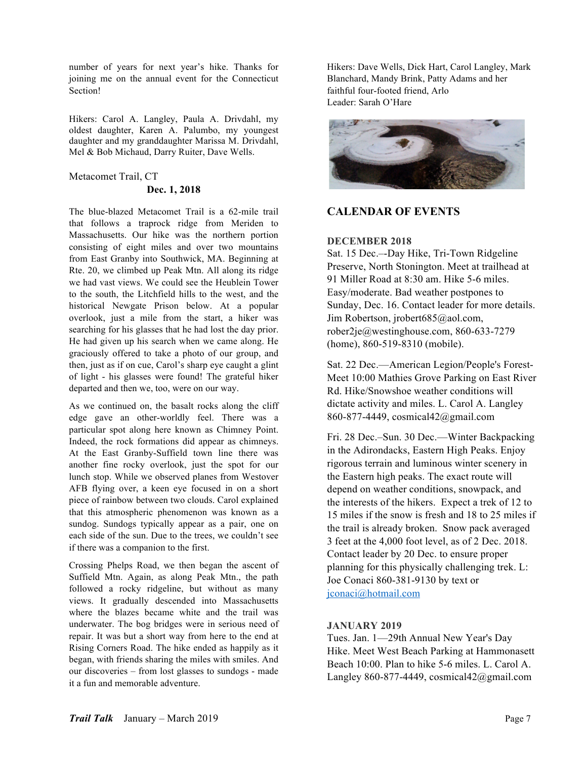number of years for next year's hike. Thanks for joining me on the annual event for the Connecticut Section!

Hikers: Carol A. Langley, Paula A. Drivdahl, my oldest daughter, Karen A. Palumbo, my youngest daughter and my granddaughter Marissa M. Drivdahl, Mel & Bob Michaud, Darry Ruiter, Dave Wells.

# Metacomet Trail, CT

## **Dec. 1, 2018**

The blue-blazed Metacomet Trail is a 62-mile trail that follows a traprock ridge from Meriden to Massachusetts. Our hike was the northern portion consisting of eight miles and over two mountains from East Granby into Southwick, MA. Beginning at Rte. 20, we climbed up Peak Mtn. All along its ridge we had vast views. We could see the Heublein Tower to the south, the Litchfield hills to the west, and the historical Newgate Prison below. At a popular overlook, just a mile from the start, a hiker was searching for his glasses that he had lost the day prior. He had given up his search when we came along. He graciously offered to take a photo of our group, and then, just as if on cue, Carol's sharp eye caught a glint of light - his glasses were found! The grateful hiker departed and then we, too, were on our way.

As we continued on, the basalt rocks along the cliff edge gave an other-worldly feel. There was a particular spot along here known as Chimney Point. Indeed, the rock formations did appear as chimneys. At the East Granby-Suffield town line there was another fine rocky overlook, just the spot for our lunch stop. While we observed planes from Westover AFB flying over, a keen eye focused in on a short piece of rainbow between two clouds. Carol explained that this atmospheric phenomenon was known as a sundog. Sundogs typically appear as a pair, one on each side of the sun. Due to the trees, we couldn't see if there was a companion to the first.

Crossing Phelps Road, we then began the ascent of Suffield Mtn. Again, as along Peak Mtn., the path followed a rocky ridgeline, but without as many views. It gradually descended into Massachusetts where the blazes became white and the trail was underwater. The bog bridges were in serious need of repair. It was but a short way from here to the end at Rising Corners Road. The hike ended as happily as it began, with friends sharing the miles with smiles. And our discoveries – from lost glasses to sundogs - made it a fun and memorable adventure.

Hikers: Dave Wells, Dick Hart, Carol Langley, Mark Blanchard, Mandy Brink, Patty Adams and her faithful four-footed friend, Arlo Leader: Sarah O'Hare



# **CALENDAR OF EVENTS**

## **DECEMBER 2018**

Sat. 15 Dec.–-Day Hike, Tri-Town Ridgeline Preserve, North Stonington. Meet at trailhead at 91 Miller Road at 8:30 am. Hike 5-6 miles. Easy/moderate. Bad weather postpones to Sunday, Dec. 16. Contact leader for more details. Jim Robertson, jrobert685@aol.com, rober2je@westinghouse.com, 860-633-7279 (home), 860-519-8310 (mobile).

Sat. 22 Dec.—American Legion/People's Forest-Meet 10:00 Mathies Grove Parking on East River Rd. Hike/Snowshoe weather conditions will dictate activity and miles. L. Carol A. Langley 860-877-4449, cosmical42@gmail.com

Fri. 28 Dec.–Sun. 30 Dec.—Winter Backpacking in the Adirondacks, Eastern High Peaks. Enjoy rigorous terrain and luminous winter scenery in the Eastern high peaks. The exact route will depend on weather conditions, snowpack, and the interests of the hikers. Expect a trek of 12 to 15 miles if the snow is fresh and 18 to 25 miles if the trail is already broken. Snow pack averaged 3 feet at the 4,000 foot level, as of 2 Dec. 2018. Contact leader by 20 Dec. to ensure proper planning for this physically challenging trek. L: Joe Conaci 860-381-9130 by text or jconaci@hotmail.com

## **JANUARY 2019**

Tues. Jan. 1—29th Annual New Year's Day Hike. Meet West Beach Parking at Hammonasett Beach 10:00. Plan to hike 5-6 miles. L. Carol A. Langley 860-877-4449, cosmical42@gmail.com